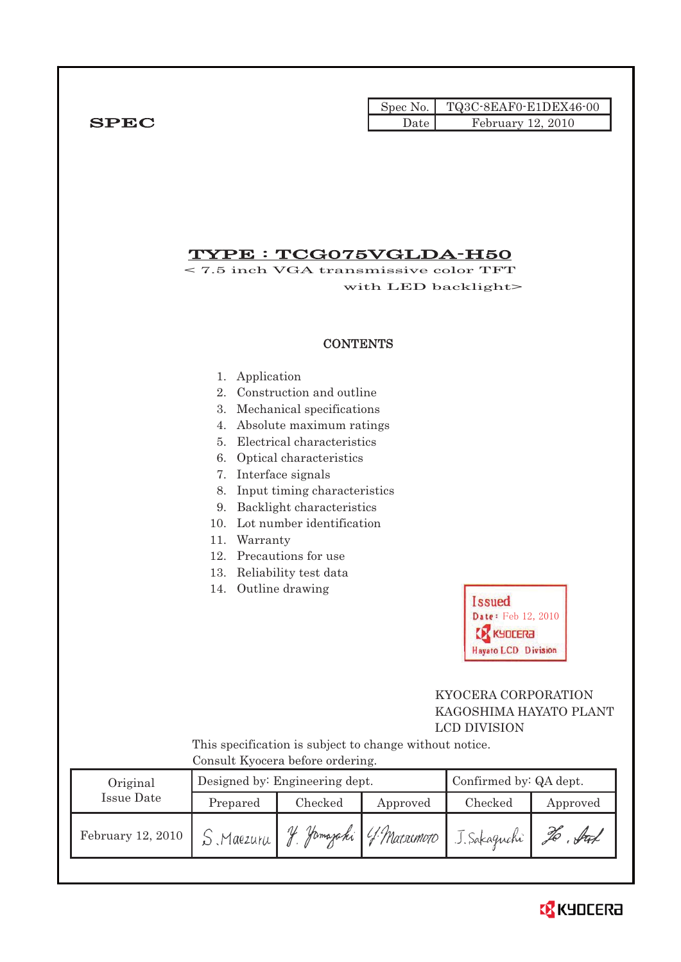|             |      | Spec No. TQ3C-8EAF0-E1DEX46-00 |
|-------------|------|--------------------------------|
| <b>SPEC</b> | Date | February 12, 2010              |

## TYPE : TCG075VGLDA-H50

< 7.5 inch VGA transmissive color TFT with LED backlight>

### **CONTENTS**

- 1. Application
- 2. Construction and outline
- 3. Mechanical specifications
- 4. Absolute maximum ratings
- 5. Electrical characteristics
- 6. Optical characteristics
- 7. Interface signals
- 8. Input timing characteristics
- 9. Backlight characteristics
- 10. Lot number identification
- 11. Warranty
- 12. Precautions for use
- 13. Reliability test data
- 14. Outline drawing



## KYOCERA CORPORATION KAGOSHIMA HAYATO PLANT LCD DIVISION

This specification is subject to change without notice. Consult Kyocera before ordering.

| Original          |                    | Designed by: Engineering dept. | Confirmed by: QA dept. |              |          |
|-------------------|--------------------|--------------------------------|------------------------|--------------|----------|
| Issue Date        | Prepared           | Checked<br>Approved            |                        | Checked      | Approved |
| February 12, 2010 | $S$ , Maezur $\mu$ |                                | Yamazaki 4 Mataimoto   | J. Sakaguchi | . Inf    |

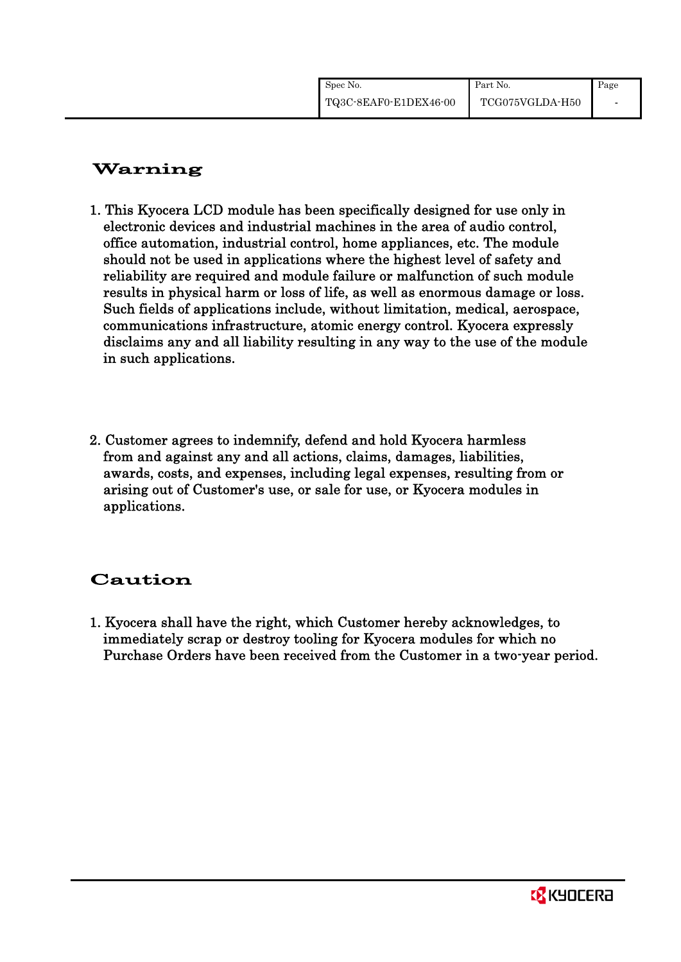| Spec No.              | Part No.        | Page |
|-----------------------|-----------------|------|
| TQ3C-8EAF0-E1DEX46-00 | TCG075VGLDA-H50 |      |

# Warning

- 1. This Kyocera LCD module has been specifically designed for use only in electronic devices and industrial machines in the area of audio control, office automation, industrial control, home appliances, etc. The module should not be used in applications where the highest level of safety and reliability are required and module failure or malfunction of such module results in physical harm or loss of life, as well as enormous damage or loss. Such fields of applications include, without limitation, medical, aerospace, communications infrastructure, atomic energy control. Kyocera expressly disclaims any and all liability resulting in any way to the use of the module in such applications.
- 2. Customer agrees to indemnify, defend and hold Kyocera harmless from and against any and all actions, claims, damages, liabilities, awards, costs, and expenses, including legal expenses, resulting from or arising out of Customer's use, or sale for use, or Kyocera modules in applications.

# Caution

1. Kyocera shall have the right, which Customer hereby acknowledges, to immediately scrap or destroy tooling for Kyocera modules for which no Purchase Orders have been received from the Customer in a two-year period.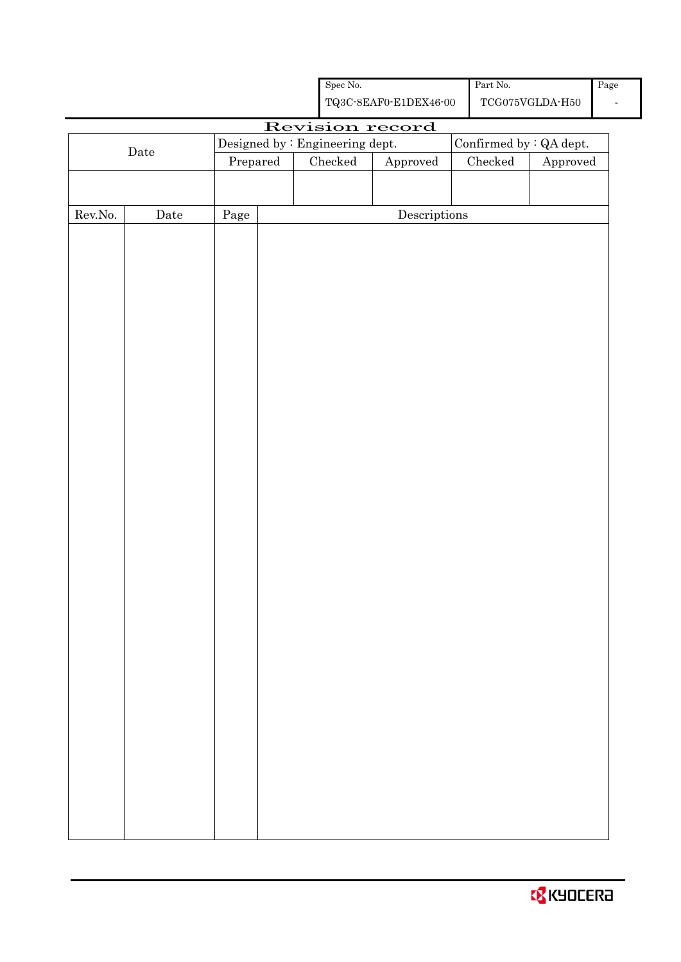|                  |      |            | Spec No.                                                                                      |                                      |  | Part No. |                         | Pag |
|------------------|------|------------|-----------------------------------------------------------------------------------------------|--------------------------------------|--|----------|-------------------------|-----|
|                  |      |            | ${\bf TQ3C\text{-}SEAF0\text{-}E1DEX46\text{-}00}$<br>$\operatorname{TCG075VGLDA\text{-}H50}$ |                                      |  |          |                         |     |
|                  |      |            |                                                                                               | Revision record                      |  |          |                         |     |
|                  |      |            | Designed by : Engineering dept.                                                               |                                      |  |          | Confirmed by : QA dept. |     |
|                  | Date | Prepared   | $\rm Checked$                                                                                 | Approved                             |  | Checked  | Approved                |     |
|                  |      |            |                                                                                               |                                      |  |          |                         |     |
|                  |      |            |                                                                                               |                                      |  |          |                         |     |
| ${\rm Rev. No.}$ | Date | $\rm Page$ |                                                                                               | $\label{eq:2} \textbf{Descriptions}$ |  |          |                         |     |
|                  |      |            |                                                                                               |                                      |  |          |                         |     |
|                  |      |            |                                                                                               |                                      |  |          |                         |     |
|                  |      |            |                                                                                               |                                      |  |          |                         |     |
|                  |      |            |                                                                                               |                                      |  |          |                         |     |
|                  |      |            |                                                                                               |                                      |  |          |                         |     |
|                  |      |            |                                                                                               |                                      |  |          |                         |     |
|                  |      |            |                                                                                               |                                      |  |          |                         |     |
|                  |      |            |                                                                                               |                                      |  |          |                         |     |
|                  |      |            |                                                                                               |                                      |  |          |                         |     |
|                  |      |            |                                                                                               |                                      |  |          |                         |     |
|                  |      |            |                                                                                               |                                      |  |          |                         |     |
|                  |      |            |                                                                                               |                                      |  |          |                         |     |
|                  |      |            |                                                                                               |                                      |  |          |                         |     |
|                  |      |            |                                                                                               |                                      |  |          |                         |     |
|                  |      |            |                                                                                               |                                      |  |          |                         |     |
|                  |      |            |                                                                                               |                                      |  |          |                         |     |
|                  |      |            |                                                                                               |                                      |  |          |                         |     |
|                  |      |            |                                                                                               |                                      |  |          |                         |     |
|                  |      |            |                                                                                               |                                      |  |          |                         |     |
|                  |      |            |                                                                                               |                                      |  |          |                         |     |
|                  |      |            |                                                                                               |                                      |  |          |                         |     |
|                  |      |            |                                                                                               |                                      |  |          |                         |     |
|                  |      |            |                                                                                               |                                      |  |          |                         |     |
|                  |      |            |                                                                                               |                                      |  |          |                         |     |
|                  |      |            |                                                                                               |                                      |  |          |                         |     |
|                  |      |            |                                                                                               |                                      |  |          |                         |     |
|                  |      |            |                                                                                               |                                      |  |          |                         |     |
|                  |      |            |                                                                                               |                                      |  |          |                         |     |
|                  |      |            |                                                                                               |                                      |  |          |                         |     |
|                  |      |            |                                                                                               |                                      |  |          |                         |     |
|                  |      |            |                                                                                               |                                      |  |          |                         |     |
|                  |      |            |                                                                                               |                                      |  |          |                         |     |
|                  |      |            |                                                                                               |                                      |  |          |                         |     |
|                  |      |            |                                                                                               |                                      |  |          |                         |     |
|                  |      |            |                                                                                               |                                      |  |          |                         |     |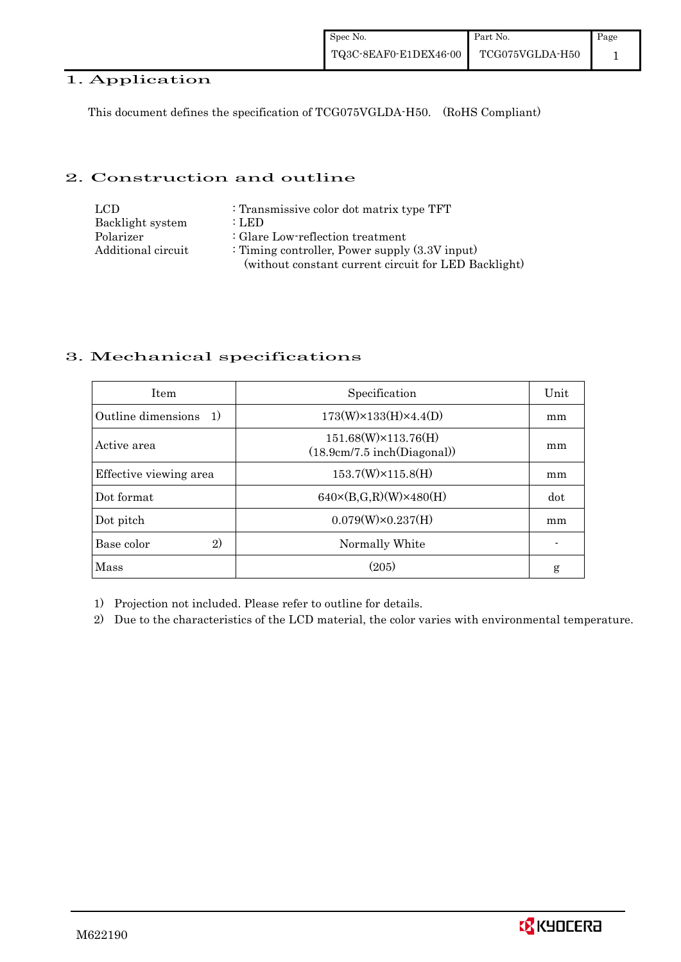### 1. Application

This document defines the specification of TCG075VGLDA-H50. (RoHS Compliant)

### 2. Construction and outline

| LCD.               | : Transmissive color dot matrix type TFT             |
|--------------------|------------------------------------------------------|
| Backlight system   | : LED                                                |
| Polarizer          | : Glare Low-reflection treatment                     |
| Additional circuit | : Timing controller, Power supply $(3.3V)$ input)    |
|                    | (without constant current circuit for LED Backlight) |

### 3. Mechanical specifications

| <b>Item</b>                | Specification                                               | Unit |
|----------------------------|-------------------------------------------------------------|------|
| Outline dimensions<br>- 1) | $173(W) \times 133(H) \times 4.4(D)$                        | mm   |
| Active area                | $151.68(W) \times 113.76(H)$<br>(18.9cm/7.5 inch(Diagonal)) | mm   |
| Effective viewing area     | $153.7(W)\times 115.8(H)$                                   | mm   |
| Dot format                 | $640 \times (B,G,R)(W) \times 480(H)$                       | dot  |
| Dot pitch                  | $0.079(W) \times 0.237(H)$                                  | mm   |
| 2)<br>Base color           | Normally White                                              |      |
| Mass                       | (205)                                                       | g    |

1) Projection not included. Please refer to outline for details.

2) Due to the characteristics of the LCD material, the color varies with environmental temperature.

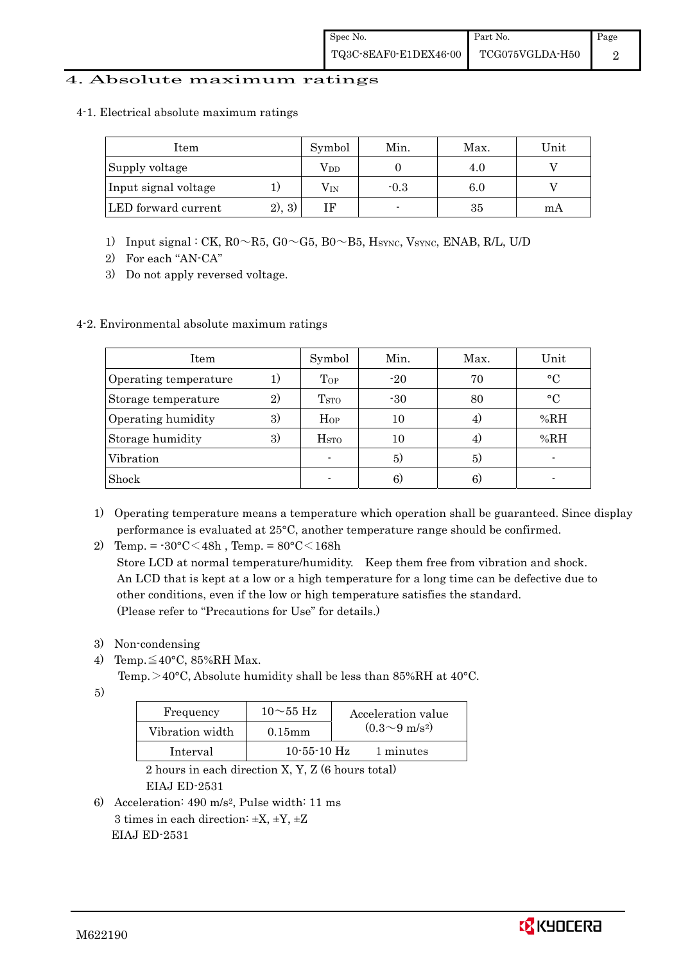#### 4. Absolute maximum ratings

4-1. Electrical absolute maximum ratings

| Item                 |         | Symbol       | Min.   | Max. | Unit |
|----------------------|---------|--------------|--------|------|------|
| Supply voltage       |         | $\rm V_{DD}$ |        | 4.0  |      |
| Input signal voltage |         | $\rm V_{IN}$ | $-0.3$ | 6.0  |      |
| LED forward current  | (2), 3) |              |        | 35   | mA   |

- 1) Input signal : CK,  $R0 \sim R5$ ,  $G0 \sim G5$ ,  $B0 \sim B5$ ,  $H_{\text{SYNC}}$ , Vsync, ENAB, R/L, U/D
- 2) For each "AN-CA"
- 3) Do not apply reversed voltage.

### 4-2. Environmental absolute maximum ratings

| Item                  |    | Symbol                  | Min.  | Max. | Unit        |
|-----------------------|----|-------------------------|-------|------|-------------|
| Operating temperature | 1) | Top                     | $-20$ | 70   | $\circ$ C   |
| Storage temperature   | 2) | <b>T</b> <sub>STO</sub> | $-30$ | 80   | $^{\circ}C$ |
| Operating humidity    | 3) | $H_{OP}$                | 10    |      | %RH         |
| Storage humidity      | 3) | $_{\mathrm{HSTO}}$      | 10    | 4.   | %RH         |
| Vibration             |    |                         | 5)    | 5)   |             |
| Shock                 |    |                         | 6)    | 6)   |             |

- 1) Operating temperature means a temperature which operation shall be guaranteed. Since display performance is evaluated at 25°C, another temperature range should be confirmed.
- 2) Temp. =  $-30^{\circ}$ C $<$ 48h, Temp. =  $80^{\circ}$ C $<$ 168h

 Store LCD at normal temperature/humidity. Keep them free from vibration and shock. An LCD that is kept at a low or a high temperature for a long time can be defective due to other conditions, even if the low or high temperature satisfies the standard. (Please refer to "Precautions for Use" for details.)

- 3) Non-condensing
- 4) Temp. $\leq 40^{\circ}$ C, 85%RH Max.

Temp.  $>40^{\circ}$ C, Absolute humidity shall be less than 85%RH at 40 $^{\circ}$ C.

5)

| Frequency       | $10\sim\!55\,\mathrm{Hz}$ | Acceleration value         |
|-----------------|---------------------------|----------------------------|
| Vibration width | $0.15$ mm                 | $(0.3{\sim}9~{\rm m/s^2})$ |
| Interval        | $10 - 55 - 10$ Hz         | 1 minutes                  |

 2 hours in each direction X, Y, Z (6 hours total) EIAJ ED-2531

6) Acceleration: 490 m/s2, Pulse width: 11 ms 3 times in each direction:  $\pm X$ ,  $\pm Y$ ,  $\pm Z$ EIAJ ED-2531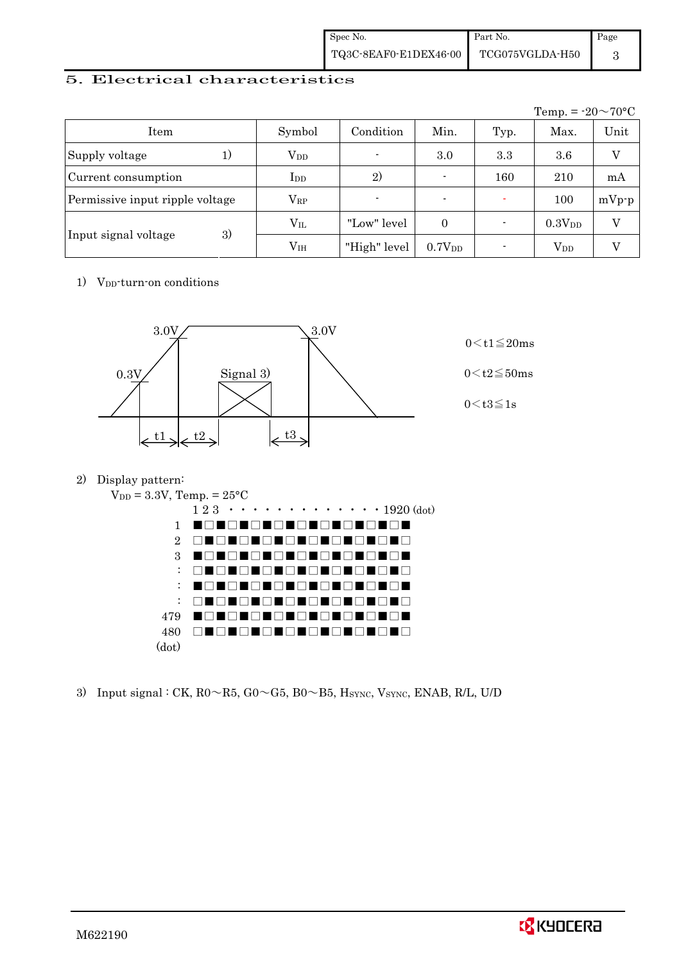| Spec No.              | Part No.        | Page |
|-----------------------|-----------------|------|
| TQ3C-8EAF0-E1DEX46-00 | TCG075VGLDA-H50 |      |

### 5. Electrical characteristics

|                                 |                        |                |                          |      | Temp. = $-20 \sim 70$ °C |         |
|---------------------------------|------------------------|----------------|--------------------------|------|--------------------------|---------|
| Item                            | Symbol                 | Condition      | Min.                     | Typ. | Max.                     | Unit    |
| Supply voltage                  | <b>V</b> <sub>DD</sub> | $\blacksquare$ | 3.0                      | 3.3  | 3.6                      | V       |
| Current consumption             | $_{\rm{LDD}}$          | 2)             |                          | 160  | 210                      | mA      |
| Permissive input ripple voltage | $\rm V_{RP}$           |                | $\overline{\phantom{0}}$ |      | 100                      | $mVp-p$ |
|                                 | $\rm V_{II}$           | "Low" level    | $\overline{0}$           |      | 0.3V <sub>DD</sub>       | V       |
| 3)<br>Input signal voltage      | $\rm V_{IH}$           | "High" level   | $0.7V_{DD}$              |      | <b>V</b> <sub>DD</sub>   |         |

1) V<sub>DD</sub>-turn-on conditions



2) Display pattern:



3) Input signal : CK,  $R0 \sim R5$ ,  $G0 \sim G5$ ,  $B0 \sim B5$ ,  $H_{\text{SYNC}}$ ,  $V_{\text{SYNC}}$ ,  $ENAB$ ,  $R/L$ ,  $U/D$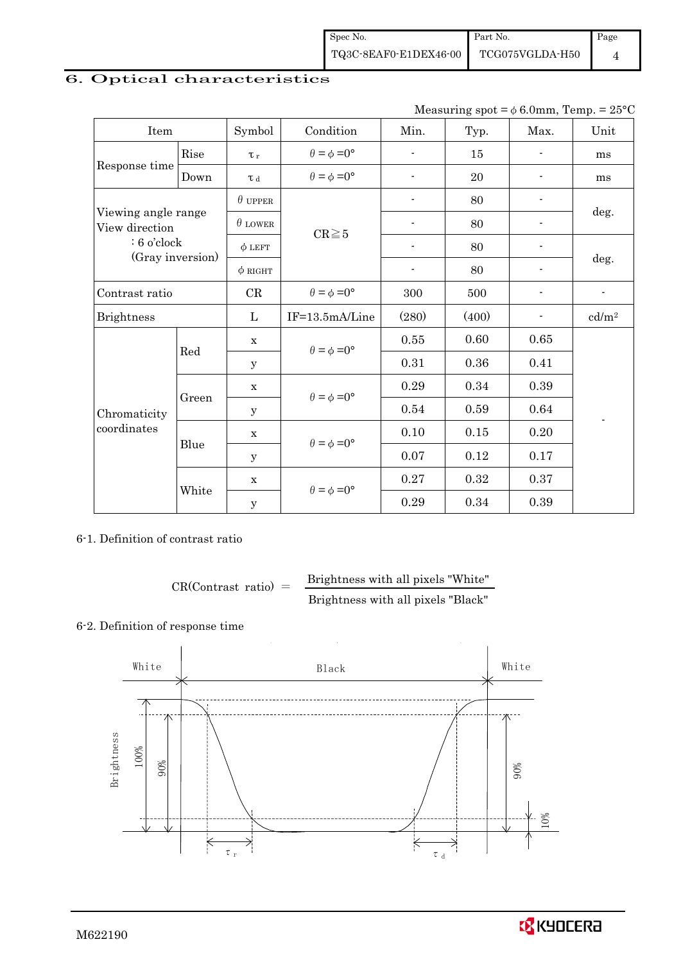## 6. Optical characteristics

| Measuring spot = $\phi$ 6.0mm, Temp. = 25°C |
|---------------------------------------------|
|---------------------------------------------|

| Item                                                                       |            | Symbol                      | Condition                   | Min.                     | Typ.  | Max.                     | Unit              |
|----------------------------------------------------------------------------|------------|-----------------------------|-----------------------------|--------------------------|-------|--------------------------|-------------------|
|                                                                            | Rise       | $\tau_r$                    | $\theta = \phi = 0^{\circ}$ | $\overline{a}$           | 15    |                          | ms                |
| Response time<br>Down                                                      |            | $\tau$ d                    | $\theta = \phi = 0^{\circ}$ | $\overline{a}$           | 20    |                          | ms                |
| Viewing angle range<br>View direction<br>$: 6$ o'clock<br>(Gray inversion) |            | $\theta$ upper              |                             | $\blacksquare$           | 80    |                          |                   |
|                                                                            |            | $\theta$ LOWER              |                             | $\blacksquare$           | 80    |                          | deg.              |
|                                                                            |            | $\phi$ LEFT                 | $CR \ge 5$                  | $\overline{\phantom{a}}$ | 80    | $\overline{\phantom{a}}$ |                   |
|                                                                            |            | $\phi$ right                |                             | $\overline{\phantom{a}}$ | 80    |                          | deg.              |
| Contrast ratio                                                             |            | CR                          | $\theta = \phi = 0^{\circ}$ | 300                      | 500   |                          |                   |
| <b>Brightness</b>                                                          |            | L                           | IF=13.5mA/Line              | (280)                    | (400) |                          | cd/m <sup>2</sup> |
| Red                                                                        |            | X                           | $\theta = \phi = 0^{\circ}$ | 0.55                     | 0.60  | 0.65                     |                   |
|                                                                            |            | y                           |                             | 0.31                     | 0.36  | 0.41                     |                   |
|                                                                            |            | $\mathbf X$                 |                             | 0.29                     | 0.34  | 0.39                     |                   |
| Chromaticity                                                               | Green<br>У | $\theta = \phi = 0^{\circ}$ | 0.54                        | 0.59                     | 0.64  |                          |                   |
| coordinates                                                                |            | $\mathbf X$                 | $\theta = \phi = 0^{\circ}$ | 0.10                     | 0.15  | 0.20                     |                   |
| Blue                                                                       |            | У                           |                             | 0.07                     | 0.12  | 0.17                     |                   |
|                                                                            |            | $\mathbf x$                 | $\theta = \phi = 0^{\circ}$ | 0.27                     | 0.32  | 0.37                     |                   |
|                                                                            | White      | $\mathbf y$                 |                             | 0.29                     | 0.34  | 0.39                     |                   |

### 6-1. Definition of contrast ratio

$$
CR(Contrast ratio) = \frac{Brightness with all pixels "White" }{Brightness with all pixels "Black" }
$$

#### 6-2. Definition of response time



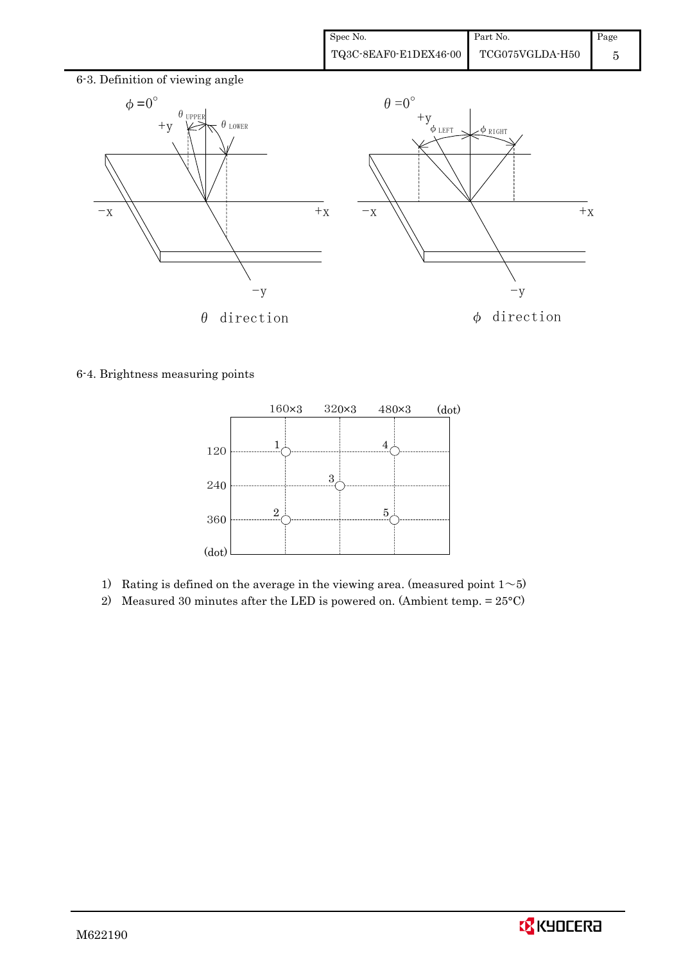

6-4. Brightness measuring points



- 1) Rating is defined on the average in the viewing area. (measured point  $1 \sim 5$ )
- 2) Measured 30 minutes after the LED is powered on. (Ambient temp.  $= 25^{\circ}$ C)

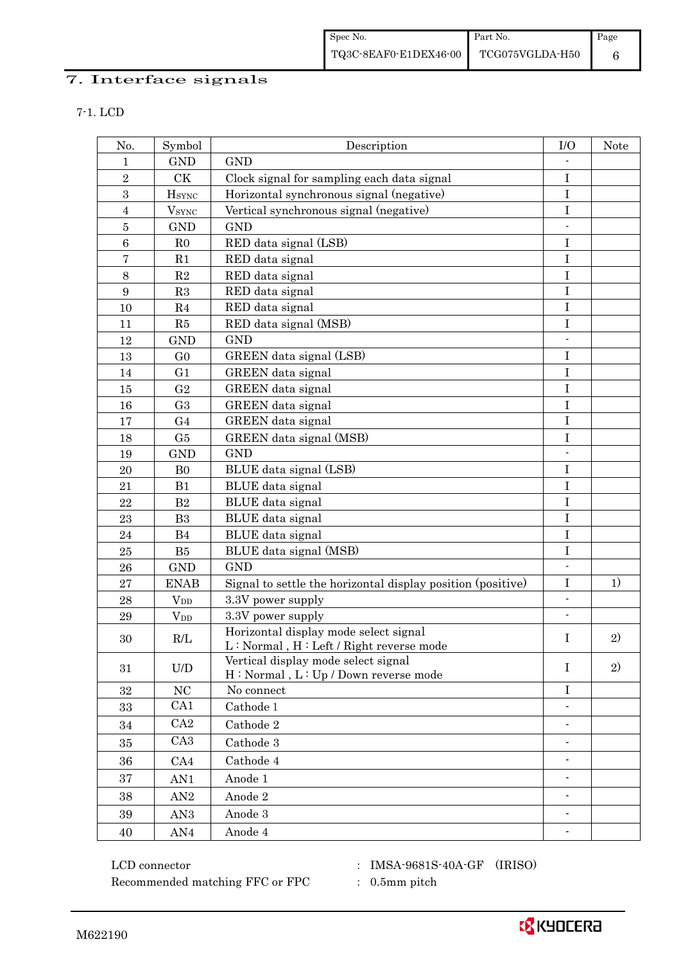# 7. Interface signals

| I |  |  |  |  |  |
|---|--|--|--|--|--|
|---|--|--|--|--|--|

| No.              | Symbol                   | Description                                                                      | I/O            | <b>Note</b> |
|------------------|--------------------------|----------------------------------------------------------------------------------|----------------|-------------|
| $\mathbf 1$      | <b>GND</b>               | <b>GND</b>                                                                       |                |             |
| $\,2$            | CK                       | Clock signal for sampling each data signal                                       | $\bf I$        |             |
| 3                | <b>H</b> <sub>SYNC</sub> | Horizontal synchronous signal (negative)                                         | $\bf I$        |             |
| $\overline{4}$   | $V_{\rm SYNC}$           | Vertical synchronous signal (negative)                                           | $\bf I$        |             |
| $\bf 5$          | <b>GND</b>               | <b>GND</b>                                                                       |                |             |
| $\,6\,$          | R <sub>0</sub>           | RED data signal (LSB)                                                            | $\rm I$        |             |
| $\overline{7}$   | R1                       | RED data signal                                                                  | $\rm I$        |             |
| $8\,$            | $\mathbf{R}2$            | RED data signal                                                                  | $\rm I$        |             |
| $\boldsymbol{9}$ | R3                       | RED data signal                                                                  | $\mathbf I$    |             |
| 10               | R4                       | RED data signal                                                                  | I              |             |
| 11               | R5                       | RED data signal (MSB)                                                            | $\bf I$        |             |
| 12               | <b>GND</b>               | <b>GND</b>                                                                       |                |             |
| 13               | G <sub>0</sub>           | GREEN data signal (LSB)                                                          | $\mathbf I$    |             |
| 14               | G <sub>1</sub>           | GREEN data signal                                                                | $\bf I$        |             |
| 15               | G <sub>2</sub>           | GREEN data signal                                                                | $\bf I$        |             |
| 16               | G <sub>3</sub>           | GREEN data signal                                                                | I              |             |
| 17               | G <sub>4</sub>           | GREEN data signal                                                                | $\rm I$        |             |
| 18               | G5                       | GREEN data signal (MSB)                                                          | $\bf I$        |             |
| 19               | <b>GND</b>               | <b>GND</b>                                                                       | $\blacksquare$ |             |
| 20               | B <sub>0</sub>           | BLUE data signal (LSB)                                                           | $\bf I$        |             |
| 21               | B1                       | BLUE data signal                                                                 | $\mathbf I$    |             |
| 22               | $\mathbf{B}2$            | BLUE data signal                                                                 | $\bf I$        |             |
| 23               | B <sub>3</sub>           | BLUE data signal                                                                 | $\bf I$        |             |
| 24               | B4                       | BLUE data signal                                                                 | $\bf I$        |             |
| 25               | B5                       | BLUE data signal (MSB)                                                           | I              |             |
| 26               | <b>GND</b>               | <b>GND</b>                                                                       |                |             |
| 27               | <b>ENAB</b>              | Signal to settle the horizontal display position (positive)                      | $\mathbf I$    | 1)          |
| 28               | $V_{DD}$                 | 3.3V power supply                                                                | $\frac{1}{2}$  |             |
| 29               | $V_{DD}$                 | 3.3V power supply                                                                |                |             |
| 30               | R/L                      | Horizontal display mode select signal<br>L: Normal, H: Left / Right reverse mode | I              | 2)          |
| 31               | U/D                      | Vertical display mode select signal<br>H: Normal, L: Up / Down reverse mode      | $\bf{I}$       | 2)          |
| 32               | NC                       | No connect                                                                       | $\rm I$        |             |
| 33               | CA1                      | Cathode 1                                                                        |                |             |
| 34               | CA2                      | Cathode 2                                                                        | $\overline{a}$ |             |
| 35               | CA <sub>3</sub>          | Cathode 3                                                                        |                |             |
| 36               | CA4                      | Cathode 4                                                                        |                |             |
| 37               | AN1                      | Anode 1                                                                          |                |             |
| 38               | AN2                      | Anode 2                                                                          | $\blacksquare$ |             |
| 39               | AN <sub>3</sub>          | Anode 3                                                                          |                |             |
| 40               | AN4                      | Anode 4                                                                          |                |             |

 ${\rm LCD~connector}~~:~{\rm IMSA}\mbox{-}9681{\rm S}\mbox{-}40{\rm A}\mbox{-}{\rm GF}~~({\rm IRISO})$ Recommended matching FFC or FPC : 0.5mm pitch

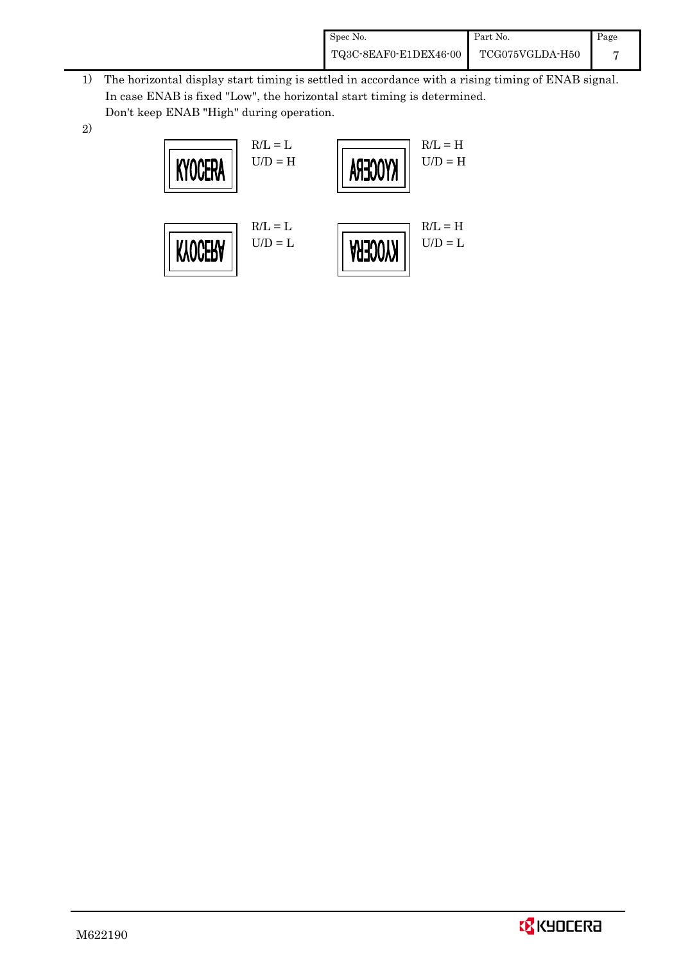| Spec No.              | Part No.        | Page |
|-----------------------|-----------------|------|
| TQ3C-8EAF0-E1DEX46-00 | TCG075VGLDA-H50 |      |

- 1) The horizontal display start timing is settled in accordance with a rising timing of ENAB signal. In case ENAB is fixed "Low", the horizontal start timing is determined. Don't keep ENAB "High" during operation.
- 2)



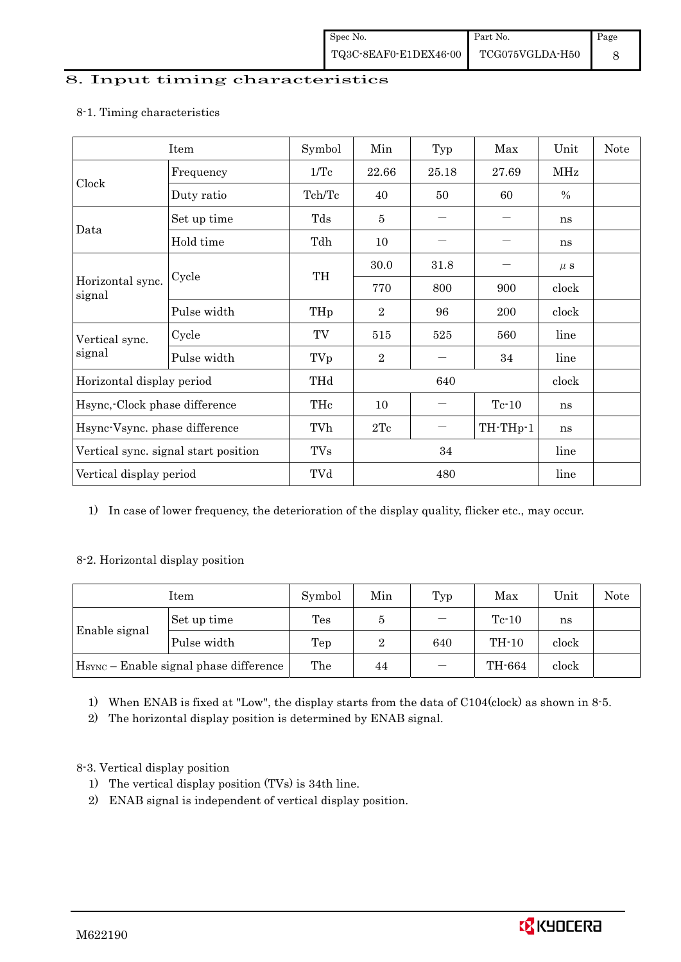#### 8. Input timing characteristics

## Item Symbol Min Typ Max Unit Note Frequency 1/Tc 22.66 25.18 27.69 MHz Clock Duty ratio  $\begin{array}{|c|c|c|c|c|c|c|c|c|} \hline \end{array}$  Tch/Tc  $\begin{array}{|c|c|c|c|c|c|c|} \hline \end{array}$  60  $\begin{array}{|c|c|c|c|c|c|} \hline \end{array}$  % Set up time Tds 5 㸫 㸫 ns Data Hold time  $\left| \begin{array}{ccc} \text{Tdh} & 10 & | & - \end{array} \right|$   $\left| \begin{array}{ccc} - & | & \text{ns} \end{array} \right|$  $30.0$  |  $31.8$  |  $-$  |  $\mu$  s Cycle TH Horizontal sync. Cycle TH 770 800 900 clock signal Pulse width  $THp \mid 2 \mid 96 \mid 200 \mid clock$ Cycle TV 515 525 560 line Vertical sync. signal Pulse width TVp 2 <sup>㸫</sup> 34 line Horizontal display period THd 640 640 clock Hsync,-Clock phase difference  $\vert$  THc  $\vert$  10  $\vert$   $\vert$  Tc-10  $\vert$  ns Hsync-Vsync. phase difference  $\vert$  TVh  $\vert$  2Tc  $\vert$   $-$  TH-THp-1 ns Vertical sync. signal start position  $\begin{array}{|c|c|c|c|c|c|c|c|c|} \hline \text{V} & \text{TVs} & 34 & \text{line} \end{array}$  line Vertical display period  $\overline{Y}$  TVd  $\overline{480}$  line

#### 8-1. Timing characteristics

1) In case of lower frequency, the deterioration of the display quality, flicker etc., may occur.

### 8-2. Horizontal display position

| Item                                               |             | Symbol         | Min | Typ | Max     | Unit  | Note |
|----------------------------------------------------|-------------|----------------|-----|-----|---------|-------|------|
|                                                    | Set up time | $\mathrm{Tes}$ | Ð   |     | $Tc-10$ | ns    |      |
| Enable signal                                      | Pulse width | Tep            | 2   | 640 | TH-10   | clock |      |
| H <sub>SYNC</sub> - Enable signal phase difference |             | The            | 44  |     | TH-664  | clock |      |

1) When ENAB is fixed at "Low", the display starts from the data of C104(clock) as shown in 8-5.

2) The horizontal display position is determined by ENAB signal.

### 8-3. Vertical display position

- 1) The vertical display position (TVs) is 34th line.
- 2) ENAB signal is independent of vertical display position.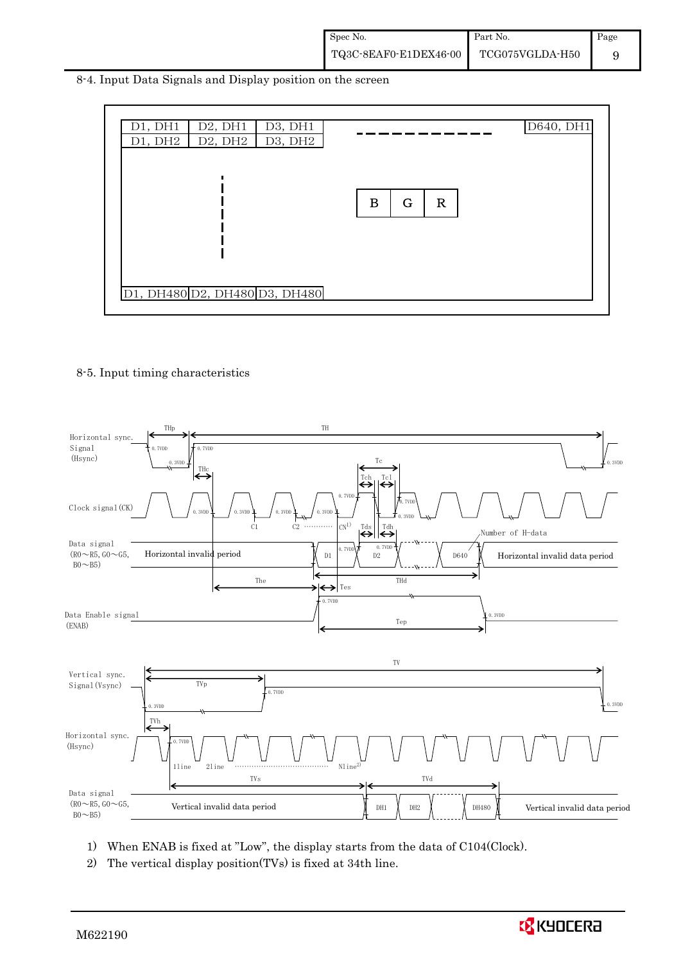8-4. Input Data Signals and Display position on the screen

| D1, DH1 | D <sub>2</sub> , DH <sub>1</sub> | D3, DH1                       |                              | D640, DH1 |
|---------|----------------------------------|-------------------------------|------------------------------|-----------|
| D1, DH2 | D2, DH2                          | D3, DH2                       |                              |           |
|         |                                  | D1, DH480 D2, DH480 D3, DH480 | $\bf{B}$<br>G<br>$\mathbf R$ |           |

#### 8-5. Input timing characteristics



- 1) When ENAB is fixed at "Low", the display starts from the data of C104(Clock).
- 2) The vertical display position(TVs) is fixed at 34th line.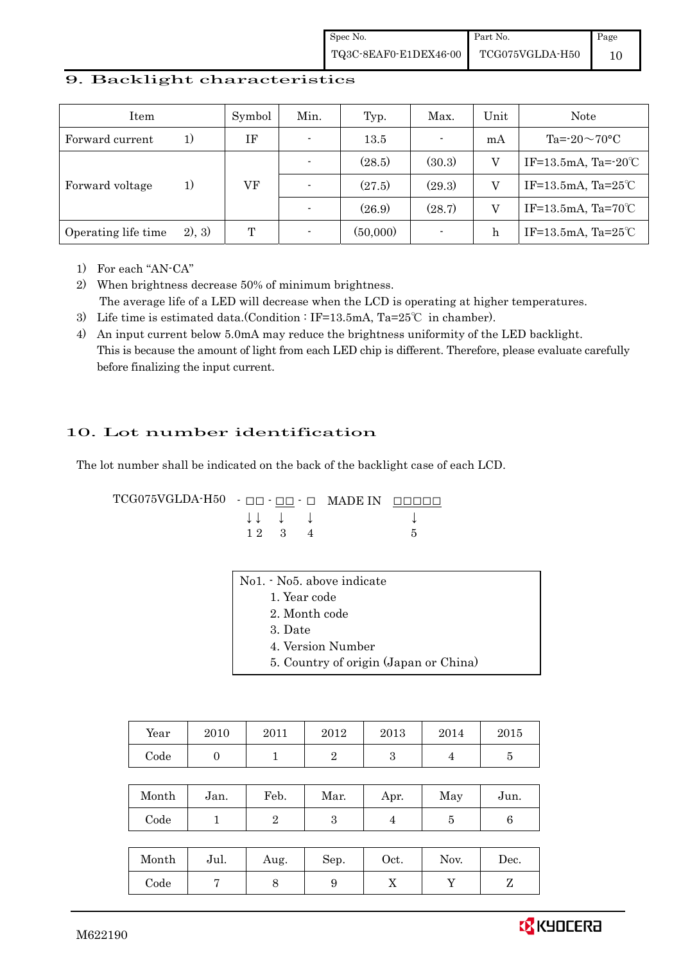#### 9. Backlight characteristics

| Item                |         | Symbol | Min.           | Typ.     | Max.                     | Unit | Note                           |
|---------------------|---------|--------|----------------|----------|--------------------------|------|--------------------------------|
| Forward current     | 1)      | ΙF     | $\blacksquare$ | $13.5\,$ | $\blacksquare$           | mA   | Ta= $-20\sim70$ °C             |
|                     |         |        |                | (28.5)   | (30.3)                   |      | IF=13.5mA, Ta= $-20^{\circ}$ C |
| Forward voltage     | 1)      | VF     |                | (27.5)   | (29.3)                   |      | IF=13.5mA, Ta= $25^{\circ}$ C  |
|                     |         |        |                | (26.9)   | (28.7)                   |      | IF=13.5mA, Ta= $70^{\circ}$ C  |
| Operating life time | (2), 3) | T      |                | (50,000) | $\overline{\phantom{a}}$ | h    | IF=13.5mA, Ta= $25^{\circ}$ C  |

1) For each "AN-CA"

2) When brightness decrease 50% of minimum brightness. The average life of a LED will decrease when the LCD is operating at higher temperatures.

- 3) Life time is estimated data.(Condition : IF=13.5mA, Ta=25℃ in chamber).
- 4) An input current below 5.0mA may reduce the brightness uniformity of the LED backlight. This is because the amount of light from each LED chip is different. Therefore, please evaluate carefully before finalizing the input current.

## 10. Lot number identification

The lot number shall be indicated on the back of the backlight case of each LCD.

 $TCG075VGLDA-H50 -  $\Box\Box$  -  $\Box\Box$  -  $\Box$  \nMADE IN  $\Box\Box\Box\Box\Box$$  $\downarrow \downarrow \quad \downarrow \quad \downarrow \qquad \qquad \downarrow$  $1 \ 2 \ 3 \ 4$  5

| No1. No5. above indicate              |
|---------------------------------------|
| 1. Year code                          |
| 2. Month code                         |
| 3. Date                               |
| 4. Version Number                     |
| 5. Country of origin (Japan or China) |

| Year  | 2010           | 2011           | 2012           | 2013 | 2014           | 2015           |
|-------|----------------|----------------|----------------|------|----------------|----------------|
| Code  | $\overline{0}$ | 1              | $\overline{2}$ | 3    | 4              | $\overline{5}$ |
|       |                |                |                |      |                |                |
| Month | Jan.           | Feb.           | Mar.           | Apr. | May            | Jun.           |
| Code  | 1              | $\overline{2}$ | 3              | 4    | $\overline{5}$ | $\,6\,$        |
|       |                |                |                |      |                |                |
| Month | Jul.           | Aug.           | Sep.           | Oct. | Nov.           | Dec.           |
| Code  | 7              | 8              | 9              | X    | Y              | Z              |

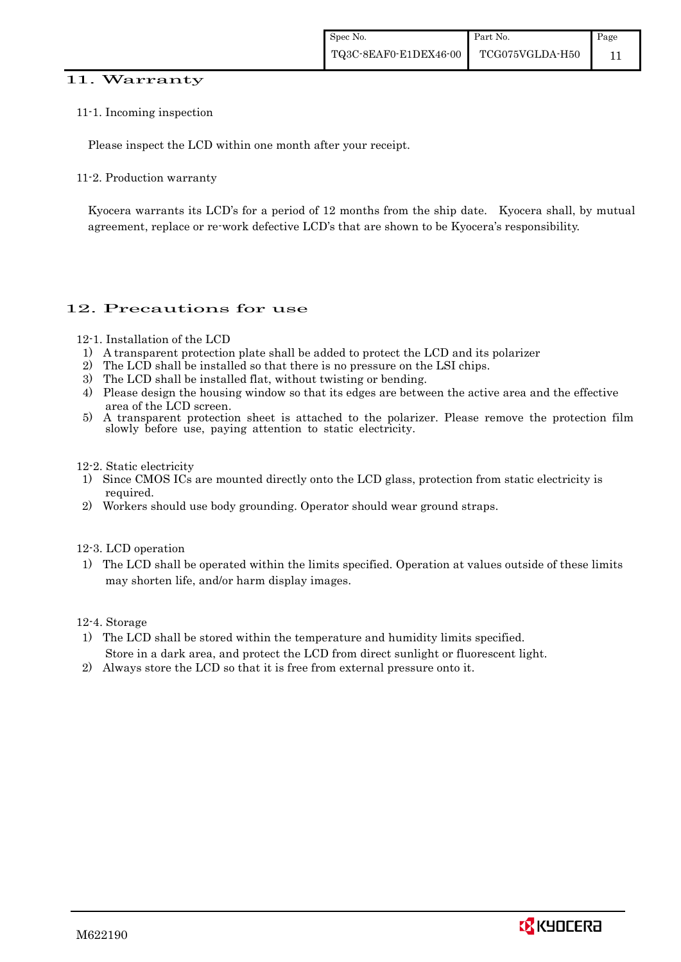#### 11. Warranty

#### 11-1. Incoming inspection

Please inspect the LCD within one month after your receipt.

11-2. Production warranty

 Kyocera warrants its LCD's for a period of 12 months from the ship date. Kyocera shall, by mutual agreement, replace or re-work defective LCD's that are shown to be Kyocera's responsibility.

## 12. Precautions for use

#### 12-1. Installation of the LCD

- 1) A transparent protection plate shall be added to protect the LCD and its polarizer
- 2) The LCD shall be installed so that there is no pressure on the LSI chips.
- 3) The LCD shall be installed flat, without twisting or bending.
- 4) Please design the housing window so that its edges are between the active area and the effective area of the LCD screen.
- 5) A transparent protection sheet is attached to the polarizer. Please remove the protection film slowly before use, paying attention to static electricity.

#### 12-2. Static electricity

- 1) Since CMOS ICs are mounted directly onto the LCD glass, protection from static electricity is required.
- 2) Workers should use body grounding. Operator should wear ground straps.

#### 12-3. LCD operation

1) The LCD shall be operated within the limits specified. Operation at values outside of these limits may shorten life, and/or harm display images.

#### 12-4. Storage

- 1) The LCD shall be stored within the temperature and humidity limits specified. Store in a dark area, and protect the LCD from direct sunlight or fluorescent light.
- 2) Always store the LCD so that it is free from external pressure onto it.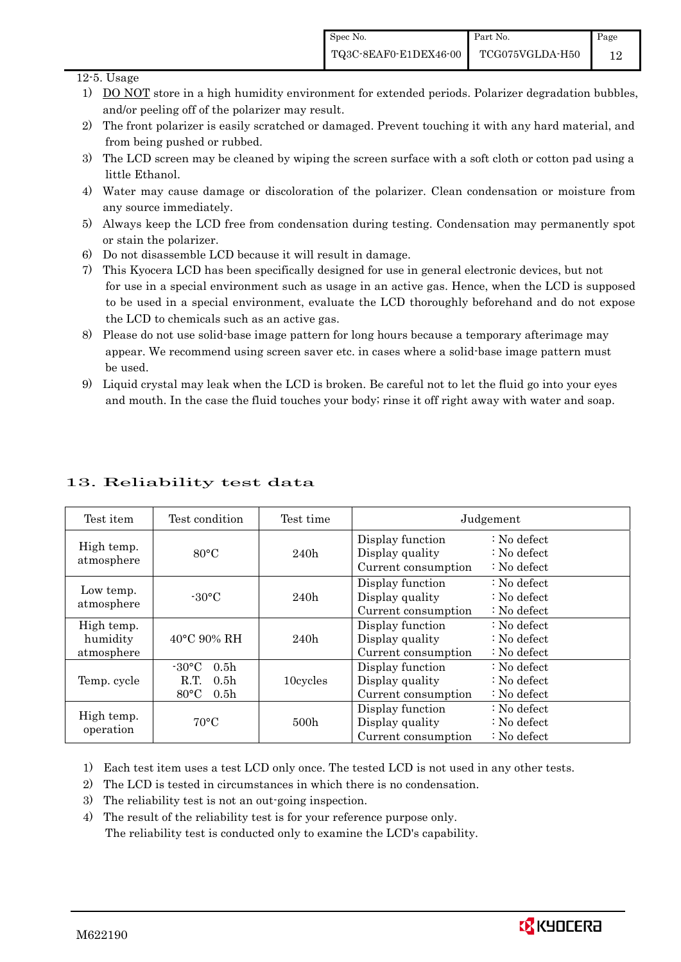#### 12-5. Usage

- 1) DO NOT store in a high humidity environment for extended periods. Polarizer degradation bubbles, and/or peeling off of the polarizer may result.
- 2) The front polarizer is easily scratched or damaged. Prevent touching it with any hard material, and from being pushed or rubbed.
- 3) The LCD screen may be cleaned by wiping the screen surface with a soft cloth or cotton pad using a little Ethanol.
- 4) Water may cause damage or discoloration of the polarizer. Clean condensation or moisture from any source immediately.
- 5) Always keep the LCD free from condensation during testing. Condensation may permanently spot or stain the polarizer.
- 6) Do not disassemble LCD because it will result in damage.
- 7) This Kyocera LCD has been specifically designed for use in general electronic devices, but not for use in a special environment such as usage in an active gas. Hence, when the LCD is supposed to be used in a special environment, evaluate the LCD thoroughly beforehand and do not expose the LCD to chemicals such as an active gas.
- 8) Please do not use solid-base image pattern for long hours because a temporary afterimage may appear. We recommend using screen saver etc. in cases where a solid-base image pattern must be used.
- 9) Liquid crystal may leak when the LCD is broken. Be careful not to let the fluid go into your eyes and mouth. In the case the fluid touches your body; rinse it off right away with water and soap.

| Test item                            | Test condition                                                                                        | Test time        | Judgement                                                  |                                                                            |
|--------------------------------------|-------------------------------------------------------------------------------------------------------|------------------|------------------------------------------------------------|----------------------------------------------------------------------------|
| High temp.<br>atmosphere             | $80^{\circ}$ C                                                                                        | 240h             | Display function<br>Display quality<br>Current consumption | $\therefore$ No defect<br>$\therefore$ No defect<br>$\therefore$ No defect |
| Low temp.<br>atmosphere              | $-30^{\circ}$ C                                                                                       | 240h             | Display function<br>Display quality<br>Current consumption | $\therefore$ No defect<br>$\therefore$ No defect<br>$\therefore$ No defect |
| High temp.<br>humidity<br>atmosphere | $40^{\circ}$ C 90% RH                                                                                 | 240h             | Display function<br>Display quality<br>Current consumption | $\therefore$ No defect<br>$\therefore$ No defect<br>$\therefore$ No defect |
| Temp. cycle                          | $-30^{\circ}$ C<br>0.5 <sub>h</sub><br>R.T.<br>0.5 <sub>h</sub><br>$80^{\circ}$ C<br>0.5 <sub>h</sub> | 10cycles         | Display function<br>Display quality<br>Current consumption | $\therefore$ No defect<br>: No defect<br>: No defect                       |
| High temp.<br>operation              | $70^{\circ}$ C                                                                                        | 500 <sub>h</sub> | Display function<br>Display quality<br>Current consumption | $\therefore$ No defect<br>$\therefore$ No defect<br>: No defect            |

## 13. Reliability test data

1) Each test item uses a test LCD only once. The tested LCD is not used in any other tests.

- 2) The LCD is tested in circumstances in which there is no condensation.
- 3) The reliability test is not an out-going inspection.
- 4) The result of the reliability test is for your reference purpose only. The reliability test is conducted only to examine the LCD's capability.

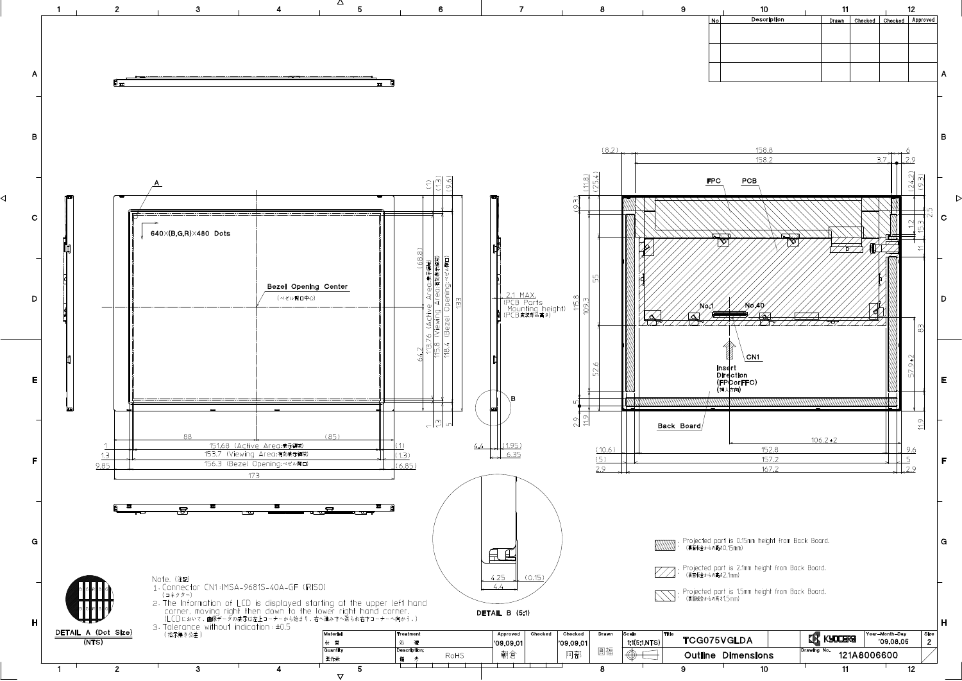

◁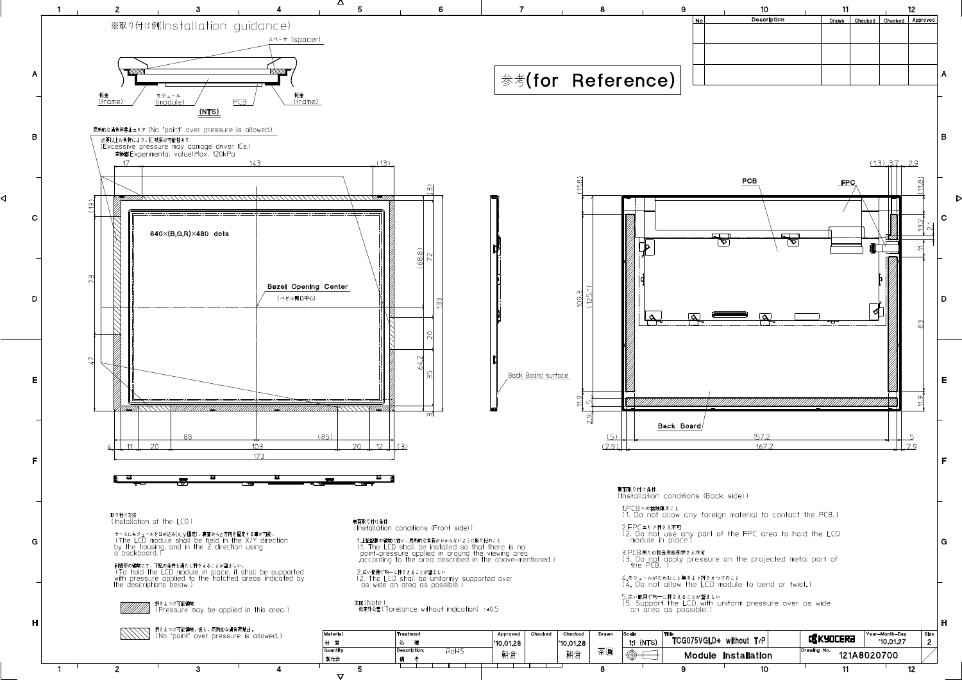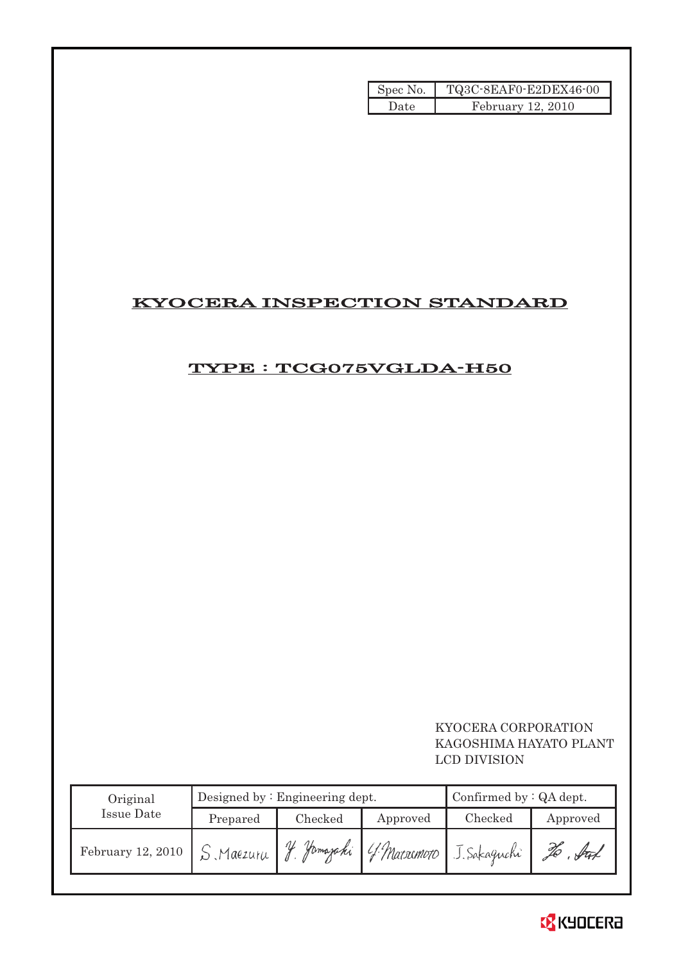| Spec No. | TQ3C-8EAF0-E2DEX46-00 |
|----------|-----------------------|
| Date     | February 12, 2010     |

## KYOCERA INSPECTION STANDARD

## TYPE : TCG075VGLDA-H50

## KYOCERA CORPORATION KAGOSHIMA HAYATO PLANT LCD DIVISION

| Original                                |          | Designed by $:$ Engineering dept. | Confirmed by : QA dept. |                                        |          |
|-----------------------------------------|----------|-----------------------------------|-------------------------|----------------------------------------|----------|
| Issue Date                              | Prepared | Checked                           | Approved                | Checked                                | Approved |
| February 12, 2010 $\int S \, Maezu \mu$ |          | $\frac{1}{2}$                     |                         | Jamajaki ( 4. Matrimoto J. Sakaguchi " | . fut    |

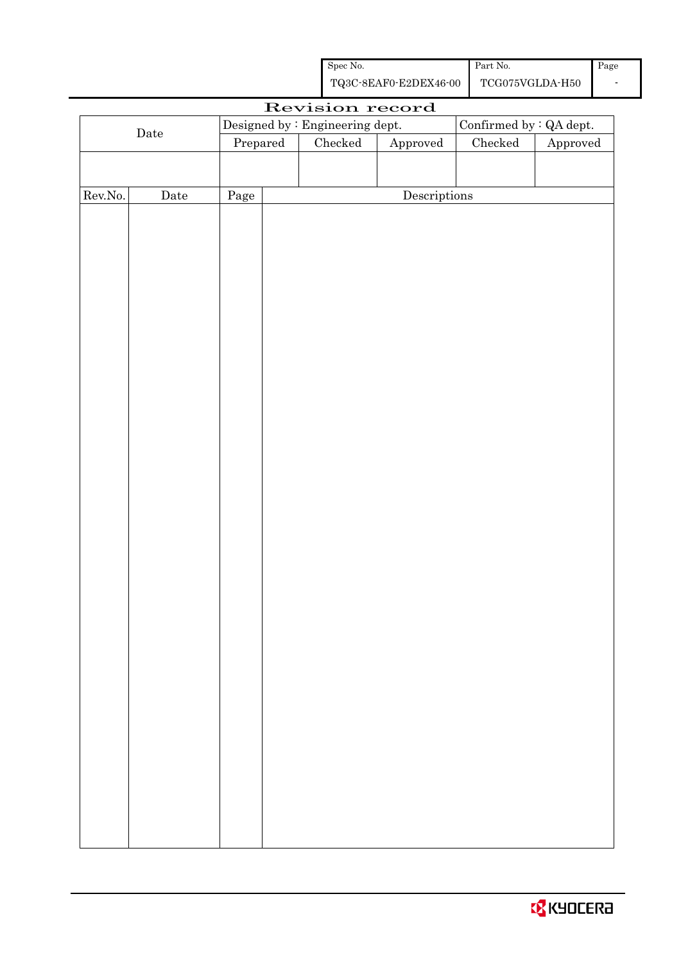| Spec No.              | Part No.        | Page |
|-----------------------|-----------------|------|
| TQ3C-8EAF0-E2DEX46-00 | TCG075VGLDA-H50 |      |

|                      |             |                                                            |  | Revision record                   |              |               |          |
|----------------------|-------------|------------------------------------------------------------|--|-----------------------------------|--------------|---------------|----------|
|                      |             | Confirmed by : QA dept.<br>Designed by : Engineering dept. |  |                                   |              |               |          |
| $\rm{\textbf{Date}}$ |             | Prepared                                                   |  | Checked<br>${\Large\bf Approved}$ |              | $\rm Checked$ | Approved |
|                      |             |                                                            |  |                                   |              |               |          |
|                      |             |                                                            |  |                                   |              |               |          |
| Rev.No.              | $\rm{Date}$ | Page                                                       |  |                                   | Descriptions |               |          |
|                      |             |                                                            |  |                                   |              |               |          |
|                      |             |                                                            |  |                                   |              |               |          |
|                      |             |                                                            |  |                                   |              |               |          |
|                      |             |                                                            |  |                                   |              |               |          |
|                      |             |                                                            |  |                                   |              |               |          |
|                      |             |                                                            |  |                                   |              |               |          |
|                      |             |                                                            |  |                                   |              |               |          |
|                      |             |                                                            |  |                                   |              |               |          |
|                      |             |                                                            |  |                                   |              |               |          |
|                      |             |                                                            |  |                                   |              |               |          |
|                      |             |                                                            |  |                                   |              |               |          |
|                      |             |                                                            |  |                                   |              |               |          |
|                      |             |                                                            |  |                                   |              |               |          |
|                      |             |                                                            |  |                                   |              |               |          |
|                      |             |                                                            |  |                                   |              |               |          |
|                      |             |                                                            |  |                                   |              |               |          |
|                      |             |                                                            |  |                                   |              |               |          |
|                      |             |                                                            |  |                                   |              |               |          |
|                      |             |                                                            |  |                                   |              |               |          |
|                      |             |                                                            |  |                                   |              |               |          |
|                      |             |                                                            |  |                                   |              |               |          |
|                      |             |                                                            |  |                                   |              |               |          |
|                      |             |                                                            |  |                                   |              |               |          |
|                      |             |                                                            |  |                                   |              |               |          |
|                      |             |                                                            |  |                                   |              |               |          |
|                      |             |                                                            |  |                                   |              |               |          |
|                      |             |                                                            |  |                                   |              |               |          |
|                      |             |                                                            |  |                                   |              |               |          |
|                      |             |                                                            |  |                                   |              |               |          |
|                      |             |                                                            |  |                                   |              |               |          |
|                      |             |                                                            |  |                                   |              |               |          |
|                      |             |                                                            |  |                                   |              |               |          |
|                      |             |                                                            |  |                                   |              |               |          |
|                      |             |                                                            |  |                                   |              |               |          |
|                      |             |                                                            |  |                                   |              |               |          |
|                      |             |                                                            |  |                                   |              |               |          |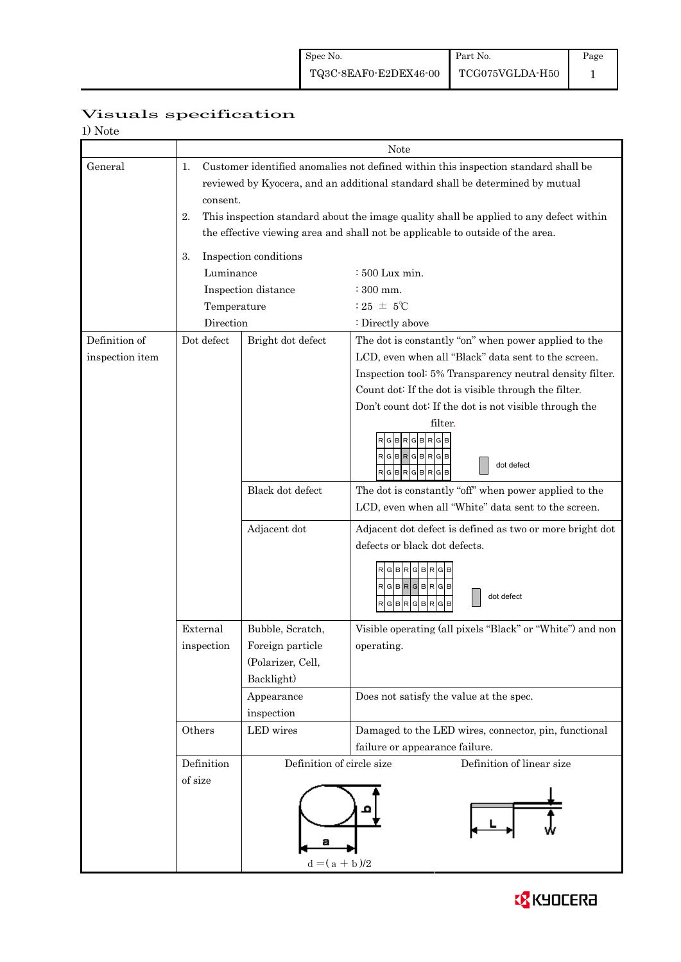|                  | Visuals specification |
|------------------|-----------------------|
| $1$ $N_{\rm{L}}$ |                       |

| 1) Note         |                                                                                                                                                                                       |                                                                                                                                                                          |                                                                                        |  |  |  |  |
|-----------------|---------------------------------------------------------------------------------------------------------------------------------------------------------------------------------------|--------------------------------------------------------------------------------------------------------------------------------------------------------------------------|----------------------------------------------------------------------------------------|--|--|--|--|
|                 | <b>Note</b>                                                                                                                                                                           |                                                                                                                                                                          |                                                                                        |  |  |  |  |
| General         | Customer identified anomalies not defined within this inspection standard shall be<br>1.<br>reviewed by Kyocera, and an additional standard shall be determined by mutual<br>consent. |                                                                                                                                                                          |                                                                                        |  |  |  |  |
|                 | 2.                                                                                                                                                                                    | This inspection standard about the image quality shall be applied to any defect within<br>the effective viewing area and shall not be applicable to outside of the area. |                                                                                        |  |  |  |  |
|                 |                                                                                                                                                                                       |                                                                                                                                                                          |                                                                                        |  |  |  |  |
|                 | 3.                                                                                                                                                                                    | Inspection conditions                                                                                                                                                    |                                                                                        |  |  |  |  |
|                 | Luminance                                                                                                                                                                             |                                                                                                                                                                          | $:500$ Lux min.                                                                        |  |  |  |  |
|                 |                                                                                                                                                                                       | Inspection distance                                                                                                                                                      | : 300 mm.                                                                              |  |  |  |  |
|                 | Temperature                                                                                                                                                                           |                                                                                                                                                                          | : 25 $\pm$ 5°C                                                                         |  |  |  |  |
|                 | Direction                                                                                                                                                                             |                                                                                                                                                                          | : Directly above                                                                       |  |  |  |  |
| Definition of   | Dot defect                                                                                                                                                                            | Bright dot defect                                                                                                                                                        | The dot is constantly "on" when power applied to the                                   |  |  |  |  |
| inspection item |                                                                                                                                                                                       |                                                                                                                                                                          | LCD, even when all "Black" data sent to the screen.                                    |  |  |  |  |
|                 |                                                                                                                                                                                       |                                                                                                                                                                          | Inspection tool: 5% Transparency neutral density filter.                               |  |  |  |  |
|                 |                                                                                                                                                                                       |                                                                                                                                                                          | Count dot: If the dot is visible through the filter.                                   |  |  |  |  |
|                 |                                                                                                                                                                                       |                                                                                                                                                                          | Don't count dot: If the dot is not visible through the                                 |  |  |  |  |
|                 |                                                                                                                                                                                       |                                                                                                                                                                          | filter.<br>GBRGBRGB<br>RGBRGBRGB<br>dot defect<br>RGBRGBRGB                            |  |  |  |  |
|                 |                                                                                                                                                                                       | Black dot defect                                                                                                                                                         | The dot is constantly "off" when power applied to the                                  |  |  |  |  |
|                 |                                                                                                                                                                                       |                                                                                                                                                                          | LCD, even when all "White" data sent to the screen.                                    |  |  |  |  |
|                 |                                                                                                                                                                                       | Adjacent dot                                                                                                                                                             | Adjacent dot defect is defined as two or more bright dot                               |  |  |  |  |
|                 |                                                                                                                                                                                       |                                                                                                                                                                          | defects or black dot defects.                                                          |  |  |  |  |
|                 |                                                                                                                                                                                       |                                                                                                                                                                          | G B R G B R<br>$RGBRGBRG$<br>dot defect<br> R G B R G B R G                            |  |  |  |  |
|                 | External                                                                                                                                                                              | Bubble, Scratch,                                                                                                                                                         | Visible operating (all pixels "Black" or "White") and non                              |  |  |  |  |
|                 | inspection                                                                                                                                                                            | Foreign particle                                                                                                                                                         | operating.                                                                             |  |  |  |  |
|                 |                                                                                                                                                                                       | (Polarizer, Cell,                                                                                                                                                        |                                                                                        |  |  |  |  |
|                 |                                                                                                                                                                                       | Backlight)                                                                                                                                                               |                                                                                        |  |  |  |  |
|                 |                                                                                                                                                                                       | Appearance                                                                                                                                                               | Does not satisfy the value at the spec.                                                |  |  |  |  |
|                 |                                                                                                                                                                                       | inspection                                                                                                                                                               |                                                                                        |  |  |  |  |
|                 | Others                                                                                                                                                                                | LED wires                                                                                                                                                                | Damaged to the LED wires, connector, pin, functional<br>failure or appearance failure. |  |  |  |  |
|                 | Definition                                                                                                                                                                            | Definition of circle size                                                                                                                                                | Definition of linear size                                                              |  |  |  |  |
|                 | of size                                                                                                                                                                               |                                                                                                                                                                          |                                                                                        |  |  |  |  |
|                 |                                                                                                                                                                                       | $d = (a + b)/2$                                                                                                                                                          |                                                                                        |  |  |  |  |